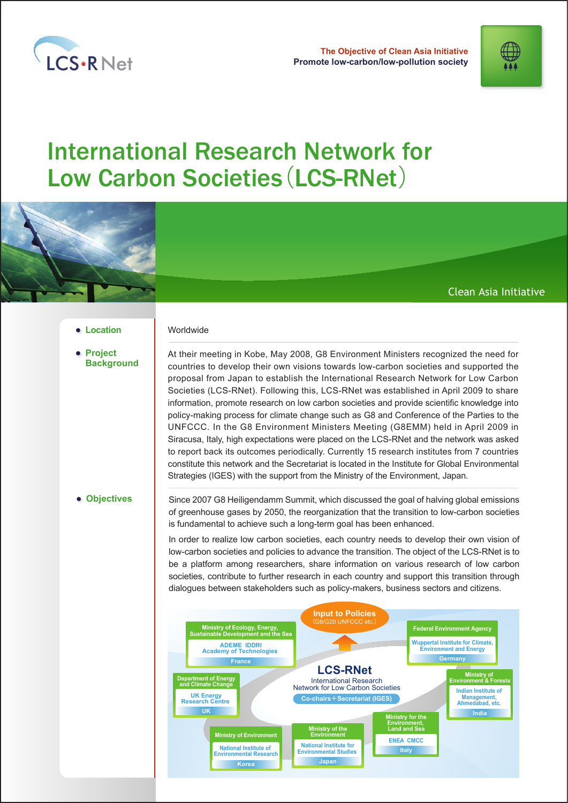

**Promote low-carbon/low-pollution society The Objective of Clean Asia Initiative** 



# **International Research Network for** Low Carbon Societies (LCS-RNet)



## Clean Asia Initiative

#### **• Location I** Worldwide

**Project Background** At their meeting in Kobe, May 2008, G8 Environment Ministers recognized the need for countries to develop their own visions towards low-carbon societies and supported the proposal from Japan to establish the International Research Network for Low Carbon Societies (LCS-RNet). Following this, LCS-RNet was established in April 2009 to share information, promote research on low carbon societies and provide scientific knowledge into policy-making process for climate change such as G8 and Conference of the Parties to the UNFCCC. In the G8 Environment Ministers Meeting (G8EMM) held in April 2009 in Siracusa, Italy, high expectations were placed on the LCS-RNet and the network was asked to report back its outcomes periodically. Currently 15 research institutes from 7 countries constitute this network and the Secretariat is located in the Institute for Global Environmental Strategies (IGES) with the support from the Ministry of the Environment, Japan.

**Objectives**

Since 2007 G8 Heiligendamm Summit, which discussed the goal of halving global emissions of greenhouse gases by 2050, the reorganization that the transition to low-carbon societies is fundamental to achieve such a long-term goal has been enhanced.

In order to realize low carbon societies, each country needs to develop their own vision of low-carbon societies and policies to advance the transition. The object of the LCS-RNet is to be a platform among researchers, share information on various research of low carbon societies, contribute to further research in each country and support this transition through dialogues between stakeholders such as policy-makers, business sectors and citizens.